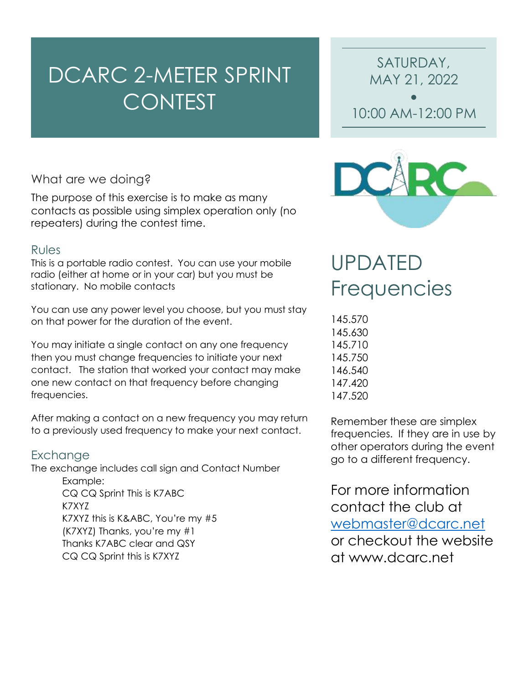# DCARC 2-METER SPRINT **CONTEST**

• 10:00 AM-12:00 PM

SATURDAY,

MAY 21, 2022

# What are we doing?

The purpose of this exercise is to make as many contacts as possible using simplex operation only (no repeaters) during the contest time.

### Rules

This is a portable radio contest. You can use your mobile radio (either at home or in your car) but you must be stationary. No mobile contacts

You can use any power level you choose, but you must stay on that power for the duration of the event.

You may initiate a single contact on any one frequency then you must change frequencies to initiate your next contact. The station that worked your contact may make one new contact on that frequency before changing frequencies.

After making a contact on a new frequency you may return to a previously used frequency to make your next contact.

## Exchange

The exchange includes call sign and Contact Number

Example: CQ CQ Sprint This is K7ABC K7XYZ K7XYZ this is K&ABC, You're my #5 (K7XYZ) Thanks, you're my #1 Thanks K7ABC clear and QSY CQ CQ Sprint this is K7XYZ



# UPDATED Frequencies

145.570 145.630 145.710 145.750 146.540 147.420 147.520

Remember these are simplex frequencies. If they are in use by other operators during the event go to a different frequency.

For more information contact the club at [webmaster@dcarc.net](mailto:webmaster@dcarc.net) or checkout the website at www.dcarc.net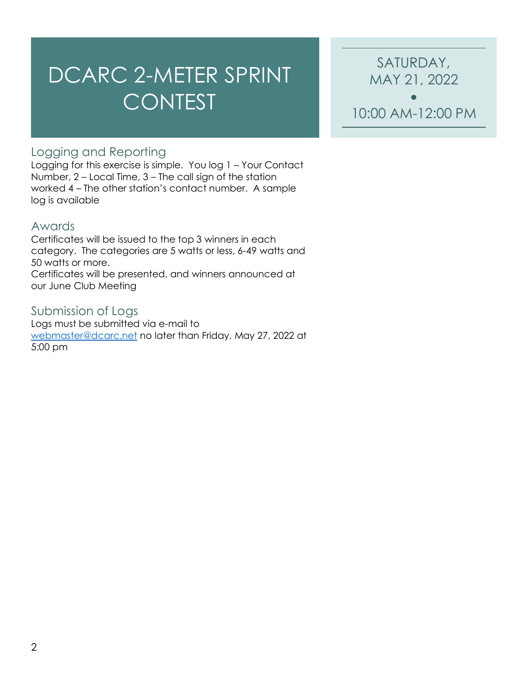# DCARC 2-METER SPRINT CONTEST

SATURDAY, MAY 21, 2022 •

10:00 AM-12:00 PM

# Logging and Reporting

Logging for this exercise is simple. You log 1 – Your Contact Number, 2 – Local Time, 3 – The call sign of the station worked 4 – The other station's contact number. A sample log is available

#### Awards

Certificates will be issued to the top 3 winners in each category. The categories are 5 watts or less, 6-49 watts and 50 watts or more.

Certificates will be presented, and winners announced at our June Club Meeting

#### Submission of Logs

Logs must be submitted via e-mail to [webmaster@dcarc.net](mailto:webmaster@dcarc.net) no later than Friday, May 27, 2022 at 5:00 pm